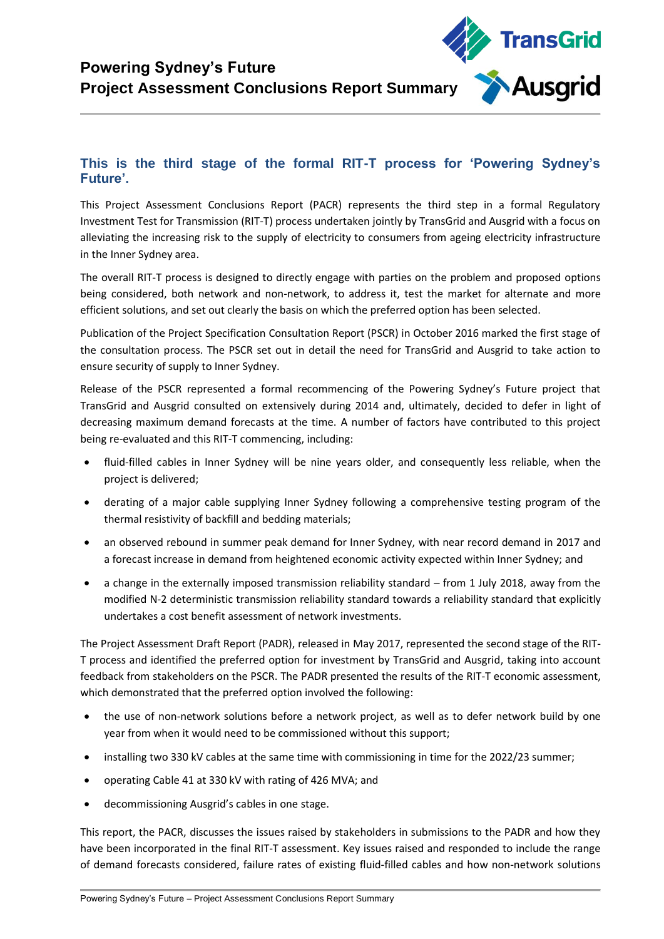

## **This is the third stage of the formal RIT-T process for 'Powering Sydney's Future'.**

This Project Assessment Conclusions Report (PACR) represents the third step in a formal Regulatory Investment Test for Transmission (RIT-T) process undertaken jointly by TransGrid and Ausgrid with a focus on alleviating the increasing risk to the supply of electricity to consumers from ageing electricity infrastructure in the Inner Sydney area.

The overall RIT-T process is designed to directly engage with parties on the problem and proposed options being considered, both network and non-network, to address it, test the market for alternate and more efficient solutions, and set out clearly the basis on which the preferred option has been selected.

Publication of the Project Specification Consultation Report (PSCR) in October 2016 marked the first stage of the consultation process. The PSCR set out in detail the need for TransGrid and Ausgrid to take action to ensure security of supply to Inner Sydney.

Release of the PSCR represented a formal recommencing of the Powering Sydney's Future project that TransGrid and Ausgrid consulted on extensively during 2014 and, ultimately, decided to defer in light of decreasing maximum demand forecasts at the time. A number of factors have contributed to this project being re-evaluated and this RIT-T commencing, including:

- fluid-filled cables in Inner Sydney will be nine years older, and consequently less reliable, when the project is delivered;
- derating of a major cable supplying Inner Sydney following a comprehensive testing program of the thermal resistivity of backfill and bedding materials;
- an observed rebound in summer peak demand for Inner Sydney, with near record demand in 2017 and a forecast increase in demand from heightened economic activity expected within Inner Sydney; and
- a change in the externally imposed transmission reliability standard from 1 July 2018, away from the modified N-2 deterministic transmission reliability standard towards a reliability standard that explicitly undertakes a cost benefit assessment of network investments.

The Project Assessment Draft Report (PADR), released in May 2017, represented the second stage of the RIT-T process and identified the preferred option for investment by TransGrid and Ausgrid, taking into account feedback from stakeholders on the PSCR. The PADR presented the results of the RIT-T economic assessment, which demonstrated that the preferred option involved the following:

- the use of non-network solutions before a network project, as well as to defer network build by one year from when it would need to be commissioned without this support;
- installing two 330 kV cables at the same time with commissioning in time for the 2022/23 summer;
- operating Cable 41 at 330 kV with rating of 426 MVA; and
- decommissioning Ausgrid's cables in one stage.

This report, the PACR, discusses the issues raised by stakeholders in submissions to the PADR and how they have been incorporated in the final RIT-T assessment. Key issues raised and responded to include the range of demand forecasts considered, failure rates of existing fluid-filled cables and how non-network solutions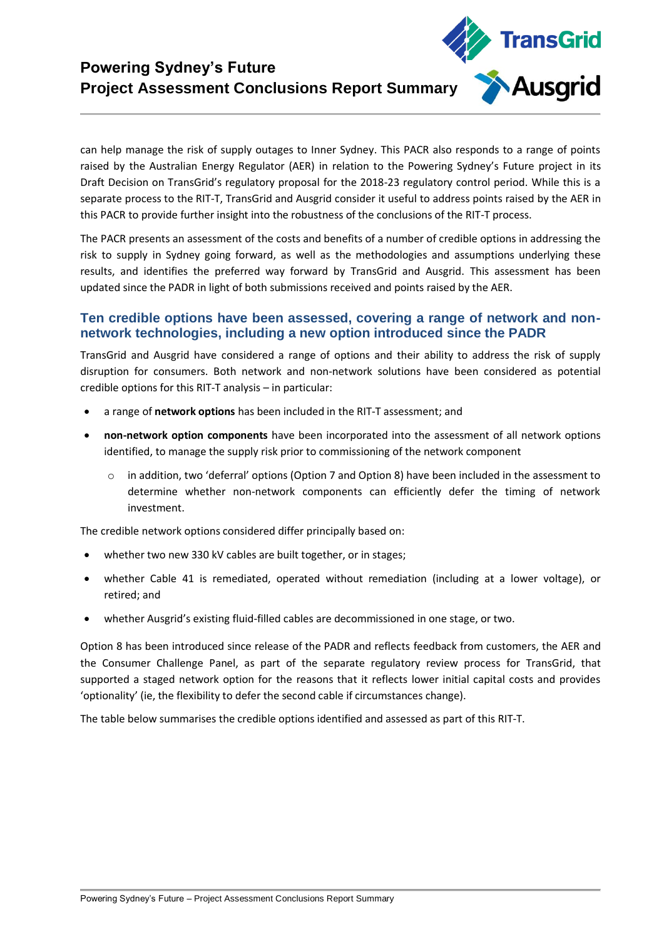

can help manage the risk of supply outages to Inner Sydney. This PACR also responds to a range of points raised by the Australian Energy Regulator (AER) in relation to the Powering Sydney's Future project in its Draft Decision on TransGrid's regulatory proposal for the 2018-23 regulatory control period. While this is a separate process to the RIT-T, TransGrid and Ausgrid consider it useful to address points raised by the AER in this PACR to provide further insight into the robustness of the conclusions of the RIT-T process.

The PACR presents an assessment of the costs and benefits of a number of credible options in addressing the risk to supply in Sydney going forward, as well as the methodologies and assumptions underlying these results, and identifies the preferred way forward by TransGrid and Ausgrid. This assessment has been updated since the PADR in light of both submissions received and points raised by the AER.

## **Ten credible options have been assessed, covering a range of network and nonnetwork technologies, including a new option introduced since the PADR**

TransGrid and Ausgrid have considered a range of options and their ability to address the risk of supply disruption for consumers. Both network and non-network solutions have been considered as potential credible options for this RIT-T analysis – in particular:

- a range of **network options** has been included in the RIT-T assessment; and
- **non-network option components** have been incorporated into the assessment of all network options identified, to manage the supply risk prior to commissioning of the network component
	- o in addition, two 'deferral' options (Option 7 and Option 8) have been included in the assessment to determine whether non-network components can efficiently defer the timing of network investment.

The credible network options considered differ principally based on:

- whether two new 330 kV cables are built together, or in stages;
- whether Cable 41 is remediated, operated without remediation (including at a lower voltage), or retired; and
- whether Ausgrid's existing fluid-filled cables are decommissioned in one stage, or two.

Option 8 has been introduced since release of the PADR and reflects feedback from customers, the AER and the Consumer Challenge Panel, as part of the separate regulatory review process for TransGrid, that supported a staged network option for the reasons that it reflects lower initial capital costs and provides 'optionality' (ie, the flexibility to defer the second cable if circumstances change).

The table below summarises the credible options identified and assessed as part of this RIT-T.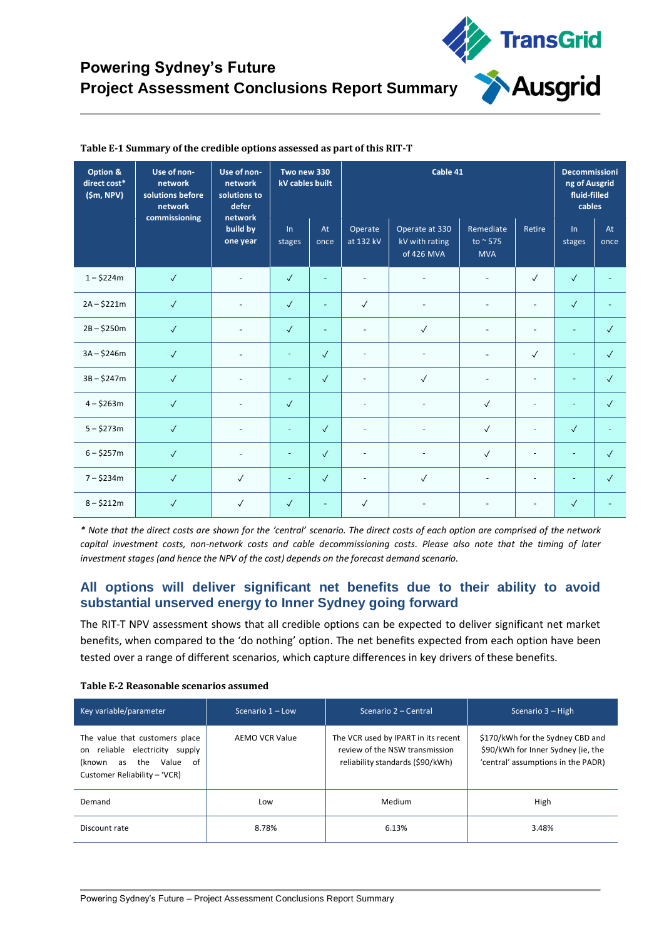| Option &<br>direct cost*<br>(Sm, NPV) | Use of non-<br>network<br>solutions before<br>network<br>commissioning | Use of non-<br>network<br>solutions to<br>defer<br>network<br>build by<br>one year | Two new 330<br>kV cables built |                          | Cable 41                 |                                                |                                             |                          | <b>Decommissioni</b><br>ng of Ausgrid<br>fluid-filled<br>cables |              |
|---------------------------------------|------------------------------------------------------------------------|------------------------------------------------------------------------------------|--------------------------------|--------------------------|--------------------------|------------------------------------------------|---------------------------------------------|--------------------------|-----------------------------------------------------------------|--------------|
|                                       |                                                                        |                                                                                    | $\ln$<br>stages                | At<br>once               | Operate<br>at 132 kV     | Operate at 330<br>kV with rating<br>of 426 MVA | Remediate<br>to $\approx$ 575<br><b>MVA</b> | Retire                   | In<br>stages                                                    | At<br>once   |
| $1 - $224m$                           | $\checkmark$                                                           | $\sim$                                                                             | $\checkmark$                   |                          | ٠                        |                                                |                                             | $\checkmark$             | $\checkmark$                                                    |              |
| $2A - $221m$                          | $\checkmark$                                                           | $\overline{\phantom{a}}$                                                           | $\checkmark$                   | $\blacksquare$           | $\checkmark$             | $\overline{\phantom{a}}$                       |                                             | $\overline{\phantom{a}}$ | $\checkmark$                                                    |              |
| $2B - $250m$                          | $\sqrt{ }$                                                             | $\overline{\phantom{a}}$                                                           | $\checkmark$                   | $\overline{\phantom{a}}$ | ٠                        | $\checkmark$                                   |                                             | $\overline{\phantom{a}}$ | $\bar{a}$                                                       | $\checkmark$ |
| $3A - $246m$                          | $\checkmark$                                                           | ٠                                                                                  |                                | $\checkmark$             |                          |                                                |                                             | $\checkmark$             |                                                                 | $\checkmark$ |
| $3B - $247m$                          | $\sqrt{ }$                                                             | $\overline{\phantom{a}}$                                                           |                                | $\checkmark$             | $\blacksquare$           | $\checkmark$                                   |                                             | $\overline{a}$           |                                                                 | $\checkmark$ |
| $4 - $263m$                           | $\checkmark$                                                           | $\overline{\phantom{a}}$                                                           | $\checkmark$                   |                          | $\blacksquare$           |                                                | $\checkmark$                                | $\sim$                   | $\blacksquare$                                                  | $\sqrt{ }$   |
| $5 - $273m$                           | $\checkmark$                                                           | $\sim$                                                                             | $\overline{\phantom{a}}$       | $\sqrt{ }$               | $\overline{\phantom{m}}$ | $\qquad \qquad \blacksquare$                   | $\checkmark$                                | $\overline{\phantom{a}}$ | $\checkmark$                                                    |              |
| $6 - $257m$                           | $\sqrt{ }$                                                             | $\overline{\phantom{a}}$                                                           | ٠                              | $\checkmark$             | ÷,                       | $\equiv$                                       | $\checkmark$                                | $\overline{\phantom{a}}$ |                                                                 | $\checkmark$ |
| $7 - $234m$                           | $\checkmark$                                                           | $\checkmark$                                                                       |                                | $\checkmark$             |                          | $\checkmark$                                   |                                             | $\overline{a}$           |                                                                 | $\sqrt{ }$   |
| $8 - $212m$                           | $\checkmark$                                                           | $\checkmark$                                                                       | $\checkmark$                   |                          | $\checkmark$             |                                                |                                             |                          | $\checkmark$                                                    |              |

### **Table E-1 Summary of the credible options assessed as part of this RIT-T**

*\* Note that the direct costs are shown for the 'central' scenario. The direct costs of each option are comprised of the network capital investment costs, non-network costs and cable decommissioning costs. Please also note that the timing of later investment stages (and hence the NPV of the cost) depends on the forecast demand scenario.* 

### **All options will deliver significant net benefits due to their ability to avoid substantial unserved energy to Inner Sydney going forward**

The RIT-T NPV assessment shows that all credible options can be expected to deliver significant net market benefits, when compared to the 'do nothing' option. The net benefits expected from each option have been tested over a range of different scenarios, which capture differences in key drivers of these benefits.

| Key variable/parameter                                                                                                                       | Scenario $1 -$ Low | Scenario 2 – Central                                                                                      | Scenario 3 – High                                                                                            |
|----------------------------------------------------------------------------------------------------------------------------------------------|--------------------|-----------------------------------------------------------------------------------------------------------|--------------------------------------------------------------------------------------------------------------|
| The value that customers place<br>reliable electricity<br>supply<br>on<br>of<br>the<br>Value<br>as<br>(known<br>Customer Reliability - 'VCR) | AEMO VCR Value     | The VCR used by IPART in its recent<br>review of the NSW transmission<br>reliability standards (\$90/kWh) | \$170/kWh for the Sydney CBD and<br>\$90/kWh for Inner Sydney (ie, the<br>'central' assumptions in the PADR) |
| Demand                                                                                                                                       | Low                | Medium                                                                                                    | High                                                                                                         |
| Discount rate                                                                                                                                | 8.78%              | 6.13%                                                                                                     | 3.48%                                                                                                        |

#### **Table E-2 Reasonable scenarios assumed**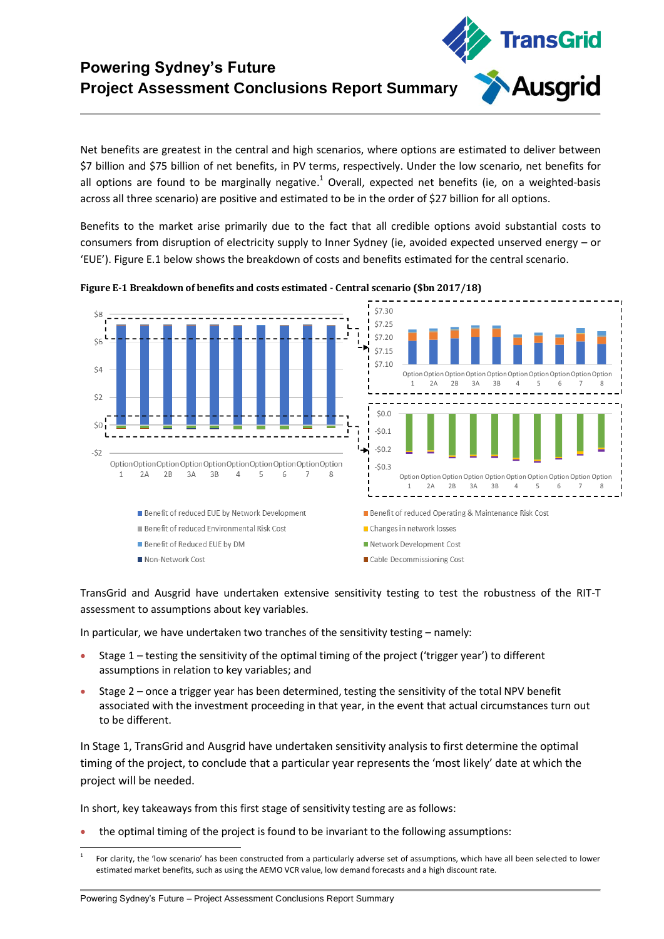Net benefits are greatest in the central and high scenarios, where options are estimated to deliver between \$7 billion and \$75 billion of net benefits, in PV terms, respectively. Under the low scenario, net benefits for all options are found to be marginally negative.<sup>1</sup> Overall, expected net benefits (ie, on a weighted-basis across all three scenario) are positive and estimated to be in the order of \$27 billion for all options.

**TransGrid** 

Ausgrid

Benefits to the market arise primarily due to the fact that all credible options avoid substantial costs to consumers from disruption of electricity supply to Inner Sydney (ie, avoided expected unserved energy – or 'EUE'). Figure E.1 below shows the breakdown of costs and benefits estimated for the central scenario.



**Figure E-1 Breakdown of benefits and costs estimated - Central scenario (\$bn 2017/18)**

TransGrid and Ausgrid have undertaken extensive sensitivity testing to test the robustness of the RIT-T assessment to assumptions about key variables.

In particular, we have undertaken two tranches of the sensitivity testing – namely:

- Stage 1 testing the sensitivity of the optimal timing of the project ('trigger year') to different assumptions in relation to key variables; and
- Stage 2 once a trigger year has been determined, testing the sensitivity of the total NPV benefit associated with the investment proceeding in that year, in the event that actual circumstances turn out to be different.

In Stage 1, TransGrid and Ausgrid have undertaken sensitivity analysis to first determine the optimal timing of the project, to conclude that a particular year represents the 'most likely' date at which the project will be needed.

In short, key takeaways from this first stage of sensitivity testing are as follows:

the optimal timing of the project is found to be invariant to the following assumptions:

**.** 

<sup>1</sup> For clarity, the 'low scenario' has been constructed from a particularly adverse set of assumptions, which have all been selected to lower estimated market benefits, such as using the AEMO VCR value, low demand forecasts and a high discount rate.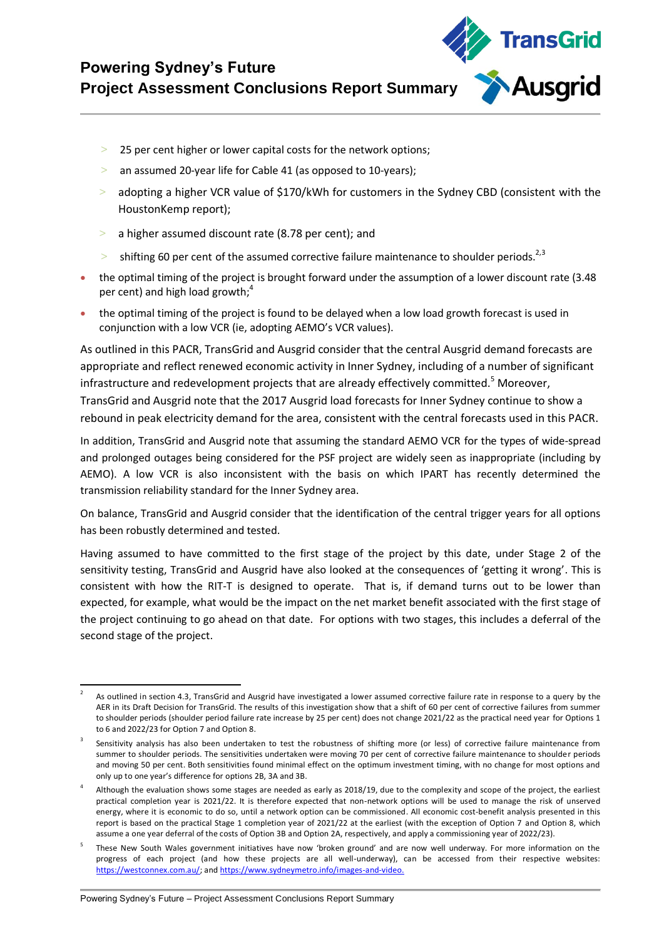

- 25 per cent higher or lower capital costs for the network options;
- > an assumed 20-year life for Cable 41 (as opposed to 10-years);
- $>$  adopting a higher VCR value of \$170/kWh for customers in the Sydney CBD (consistent with the HoustonKemp report);
- > a higher assumed discount rate (8.78 per cent); and
- shifting 60 per cent of the assumed corrective failure maintenance to shoulder periods. $^{2,3}$
- the optimal timing of the project is brought forward under the assumption of a lower discount rate (3.48 per cent) and high load growth; $4$
- the optimal timing of the project is found to be delayed when a low load growth forecast is used in conjunction with a low VCR (ie, adopting AEMO's VCR values).

As outlined in this PACR, TransGrid and Ausgrid consider that the central Ausgrid demand forecasts are appropriate and reflect renewed economic activity in Inner Sydney, including of a number of significant infrastructure and redevelopment projects that are already effectively committed.<sup>5</sup> Moreover, TransGrid and Ausgrid note that the 2017 Ausgrid load forecasts for Inner Sydney continue to show a rebound in peak electricity demand for the area, consistent with the central forecasts used in this PACR.

In addition, TransGrid and Ausgrid note that assuming the standard AEMO VCR for the types of wide-spread and prolonged outages being considered for the PSF project are widely seen as inappropriate (including by AEMO). A low VCR is also inconsistent with the basis on which IPART has recently determined the transmission reliability standard for the Inner Sydney area.

On balance, TransGrid and Ausgrid consider that the identification of the central trigger years for all options has been robustly determined and tested.

Having assumed to have committed to the first stage of the project by this date, under Stage 2 of the sensitivity testing, TransGrid and Ausgrid have also looked at the consequences of 'getting it wrong'. This is consistent with how the RIT-T is designed to operate. That is, if demand turns out to be lower than expected, for example, what would be the impact on the net market benefit associated with the first stage of the project continuing to go ahead on that date. For options with two stages, this includes a deferral of the second stage of the project.

<sup>1</sup> 2 As outlined in section 4.3, TransGrid and Ausgrid have investigated a lower assumed corrective failure rate in response to a query by the AER in its Draft Decision for TransGrid. The results of this investigation show that a shift of 60 per cent of corrective failures from summer to shoulder periods (shoulder period failure rate increase by 25 per cent) does not change 2021/22 as the practical need year for Options 1 to 6 and 2022/23 for Option 7 and Option 8.

<sup>3</sup> Sensitivity analysis has also been undertaken to test the robustness of shifting more (or less) of corrective failure maintenance from summer to shoulder periods. The sensitivities undertaken were moving 70 per cent of corrective failure maintenance to shoulder periods and moving 50 per cent. Both sensitivities found minimal effect on the optimum investment timing, with no change for most options and only up to one year's difference for options 2B, 3A and 3B.

<sup>4</sup> Although the evaluation shows some stages are needed as early as 2018/19, due to the complexity and scope of the project, the earliest practical completion year is 2021/22. It is therefore expected that non-network options will be used to manage the risk of unserved energy, where it is economic to do so, until a network option can be commissioned. All economic cost-benefit analysis presented in this report is based on the practical Stage 1 completion year of 2021/22 at the earliest (with the exception of Option 7 and Option 8, which assume a one year deferral of the costs of Option 3B and Option 2A, respectively, and apply a commissioning year of 2022/23).

<sup>5</sup> These New South Wales government initiatives have now 'broken ground' and are now well underway. For more information on the progress of each project (and how these projects are all well-underway), can be accessed from their respective websites: [https://westconnex.com.au/;](https://westconnex.com.au/) an[d https://www.sydneymetro.info/images-and-video.](https://www.sydneymetro.info/images-and-video)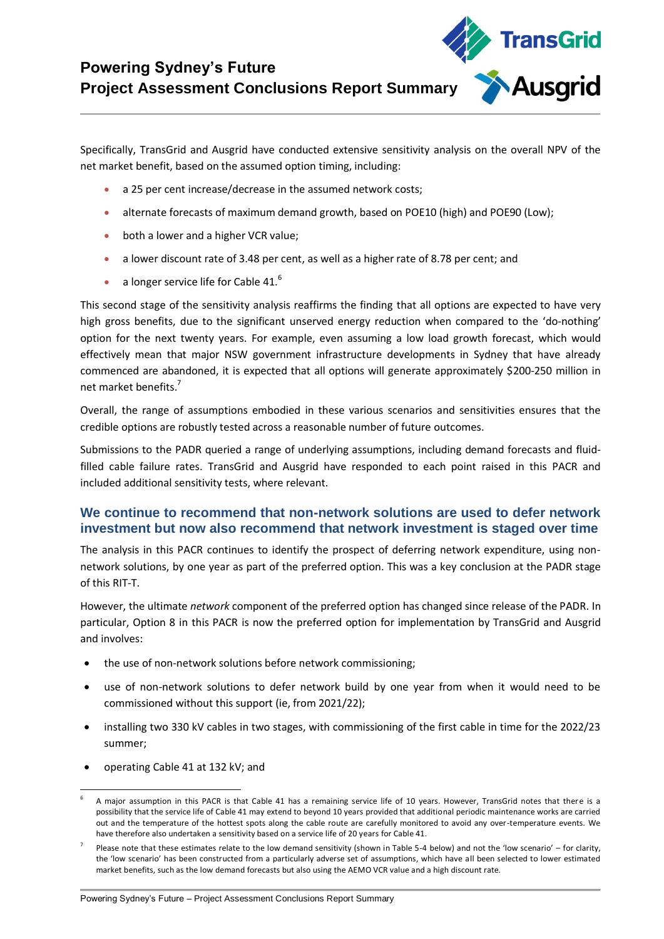

Specifically, TransGrid and Ausgrid have conducted extensive sensitivity analysis on the overall NPV of the net market benefit, based on the assumed option timing, including:

- a 25 per cent increase/decrease in the assumed network costs;
- alternate forecasts of maximum demand growth, based on POE10 (high) and POE90 (Low);
- **•** both a lower and a higher VCR value;
- a lower discount rate of 3.48 per cent, as well as a higher rate of 8.78 per cent; and
- a longer service life for Cable 41. $^6$

This second stage of the sensitivity analysis reaffirms the finding that all options are expected to have very high gross benefits, due to the significant unserved energy reduction when compared to the 'do-nothing' option for the next twenty years. For example, even assuming a low load growth forecast, which would effectively mean that major NSW government infrastructure developments in Sydney that have already commenced are abandoned, it is expected that all options will generate approximately \$200-250 million in net market benefits.<sup>7</sup>

Overall, the range of assumptions embodied in these various scenarios and sensitivities ensures that the credible options are robustly tested across a reasonable number of future outcomes.

Submissions to the PADR queried a range of underlying assumptions, including demand forecasts and fluidfilled cable failure rates. TransGrid and Ausgrid have responded to each point raised in this PACR and included additional sensitivity tests, where relevant.

## **We continue to recommend that non-network solutions are used to defer network investment but now also recommend that network investment is staged over time**

The analysis in this PACR continues to identify the prospect of deferring network expenditure, using nonnetwork solutions, by one year as part of the preferred option. This was a key conclusion at the PADR stage of this RIT-T.

However, the ultimate *network* component of the preferred option has changed since release of the PADR. In particular, Option 8 in this PACR is now the preferred option for implementation by TransGrid and Ausgrid and involves:

- the use of non-network solutions before network commissioning;
- use of non-network solutions to defer network build by one year from when it would need to be commissioned without this support (ie, from 2021/22);
- installing two 330 kV cables in two stages, with commissioning of the first cable in time for the 2022/23 summer;
- operating Cable 41 at 132 kV; and

<sup>-</sup>6 A major assumption in this PACR is that Cable 41 has a remaining service life of 10 years. However, TransGrid notes that there is a possibility that the service life of Cable 41 may extend to beyond 10 years provided that additional periodic maintenance works are carried out and the temperature of the hottest spots along the cable route are carefully monitored to avoid any over-temperature events. We have therefore also undertaken a sensitivity based on a service life of 20 years for Cable 41.

<sup>7</sup> Please note that these estimates relate to the low demand sensitivity (shown in Table 5-4 below) and not the 'low scenario' – for clarity, the 'low scenario' has been constructed from a particularly adverse set of assumptions, which have all been selected to lower estimated market benefits, such as the low demand forecasts but also using the AEMO VCR value and a high discount rate.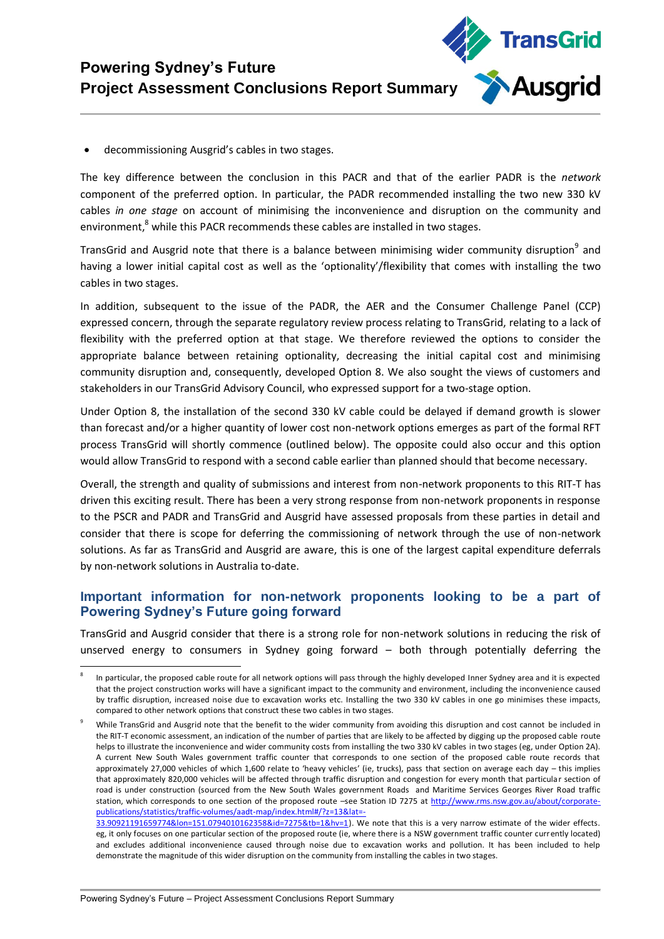

decommissioning Ausgrid's cables in two stages.

The key difference between the conclusion in this PACR and that of the earlier PADR is the *network* component of the preferred option. In particular, the PADR recommended installing the two new 330 kV cables *in one stage* on account of minimising the inconvenience and disruption on the community and environment,<sup>8</sup> while this PACR recommends these cables are installed in two stages.

TransGrid and Ausgrid note that there is a balance between minimising wider community disruption<sup>9</sup> and having a lower initial capital cost as well as the 'optionality'/flexibility that comes with installing the two cables in two stages.

In addition, subsequent to the issue of the PADR, the AER and the Consumer Challenge Panel (CCP) expressed concern, through the separate regulatory review process relating to TransGrid, relating to a lack of flexibility with the preferred option at that stage. We therefore reviewed the options to consider the appropriate balance between retaining optionality, decreasing the initial capital cost and minimising community disruption and, consequently, developed Option 8. We also sought the views of customers and stakeholders in our TransGrid Advisory Council, who expressed support for a two-stage option.

Under Option 8, the installation of the second 330 kV cable could be delayed if demand growth is slower than forecast and/or a higher quantity of lower cost non-network options emerges as part of the formal RFT process TransGrid will shortly commence (outlined below). The opposite could also occur and this option would allow TransGrid to respond with a second cable earlier than planned should that become necessary.

Overall, the strength and quality of submissions and interest from non-network proponents to this RIT-T has driven this exciting result. There has been a very strong response from non-network proponents in response to the PSCR and PADR and TransGrid and Ausgrid have assessed proposals from these parties in detail and consider that there is scope for deferring the commissioning of network through the use of non-network solutions. As far as TransGrid and Ausgrid are aware, this is one of the largest capital expenditure deferrals by non-network solutions in Australia to-date.

## **Important information for non-network proponents looking to be a part of Powering Sydney's Future going forward**

TransGrid and Ausgrid consider that there is a strong role for non-network solutions in reducing the risk of unserved energy to consumers in Sydney going forward – both through potentially deferring the

**.** 

<sup>8</sup> In particular, the proposed cable route for all network options will pass through the highly developed Inner Sydney area and it is expected that the project construction works will have a significant impact to the community and environment, including the inconvenience caused by traffic disruption, increased noise due to excavation works etc. Installing the two 330 kV cables in one go minimises these impacts, compared to other network options that construct these two cables in two stages.

<sup>9</sup> While TransGrid and Ausgrid note that the benefit to the wider community from avoiding this disruption and cost cannot be included in the RIT-T economic assessment, an indication of the number of parties that are likely to be affected by digging up the proposed cable route helps to illustrate the inconvenience and wider community costs from installing the two 330 kV cables in two stages (eg, under Option 2A). A current New South Wales government traffic counter that corresponds to one section of the proposed cable route records that approximately 27,000 vehicles of which 1,600 relate to 'heavy vehicles' (ie, trucks), pass that section on average each day – this implies that approximately 820,000 vehicles will be affected through traffic disruption and congestion for every month that particular section of road is under construction (sourced from the New South Wales government Roads and Maritime Services Georges River Road traffic station, which corresponds to one section of the proposed route –see Station ID 7275 at [http://www.rms.nsw.gov.au/about/corporate](http://www.rms.nsw.gov.au/about/corporate-publications/statistics/traffic-volumes/aadt-map/index.html#/?z=13&lat=-33.90921191659774&lon=151.0794010162358&id=7275&tb=1&hv=1)[publications/statistics/traffic-volumes/aadt-map/index.html#/?z=13&lat=-](http://www.rms.nsw.gov.au/about/corporate-publications/statistics/traffic-volumes/aadt-map/index.html#/?z=13&lat=-33.90921191659774&lon=151.0794010162358&id=7275&tb=1&hv=1)

[<sup>33.90921191659774&</sup>amp;lon=151.0794010162358&id=7275&tb=1&hv=1\)](http://www.rms.nsw.gov.au/about/corporate-publications/statistics/traffic-volumes/aadt-map/index.html#/?z=13&lat=-33.90921191659774&lon=151.0794010162358&id=7275&tb=1&hv=1). We note that this is a very narrow estimate of the wider effects. eg, it only focuses on one particular section of the proposed route (ie, where there is a NSW government traffic counter currently located) and excludes additional inconvenience caused through noise due to excavation works and pollution. It has been included to help demonstrate the magnitude of this wider disruption on the community from installing the cables in two stages.